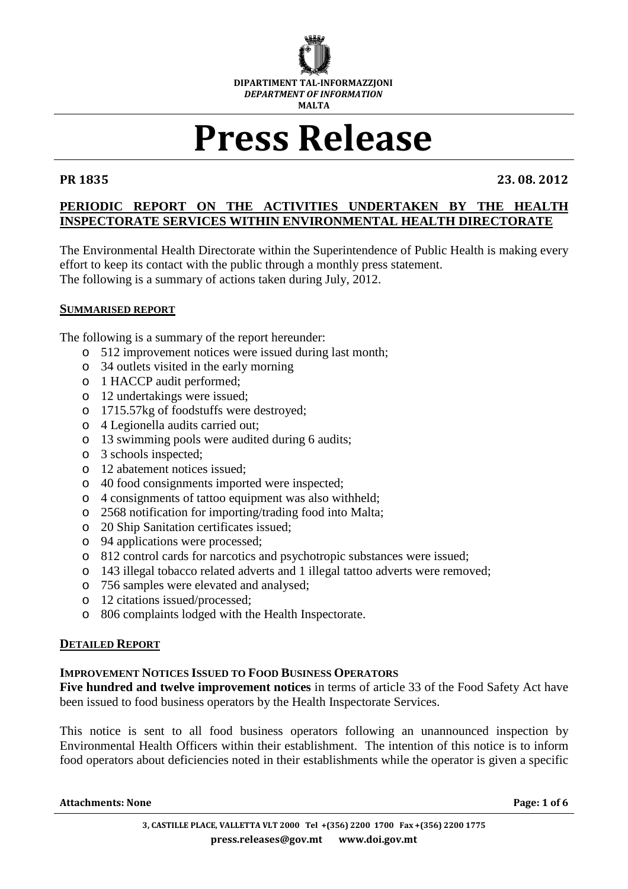

# Press Release

PR 1835 23. 08. 2012

# **PERIODIC REPORT ON THE ACTIVITIES UNDERTAKEN BY THE HEALTH INSPECTORATE SERVICES WITHIN ENVIRONMENTAL HEALTH DIRECTORATE**

The Environmental Health Directorate within the Superintendence of Public Health is making every effort to keep its contact with the public through a monthly press statement. The following is a summary of actions taken during July, 2012.

## **SUMMARISED REPORT**

The following is a summary of the report hereunder:

- o 512 improvement notices were issued during last month;
- o 34 outlets visited in the early morning
- o 1 HACCP audit performed;
- o 12 undertakings were issued;
- o 1715.57kg of foodstuffs were destroyed;
- o 4 Legionella audits carried out;
- o 13 swimming pools were audited during 6 audits;
- o 3 schools inspected;
- o 12 abatement notices issued;
- o 40 food consignments imported were inspected;
- o 4 consignments of tattoo equipment was also withheld;
- o 2568 notification for importing/trading food into Malta;
- o 20 Ship Sanitation certificates issued;
- o 94 applications were processed;
- o 812 control cards for narcotics and psychotropic substances were issued;
- o 143 illegal tobacco related adverts and 1 illegal tattoo adverts were removed;
- o 756 samples were elevated and analysed;
- o 12 citations issued/processed;
- o 806 complaints lodged with the Health Inspectorate.

## **DETAILED REPORT**

## **IMPROVEMENT NOTICES ISSUED TO FOOD BUSINESS OPERATORS**

**Five hundred and twelve improvement notices** in terms of article 33 of the Food Safety Act have been issued to food business operators by the Health Inspectorate Services.

This notice is sent to all food business operators following an unannounced inspection by Environmental Health Officers within their establishment. The intention of this notice is to inform food operators about deficiencies noted in their establishments while the operator is given a specific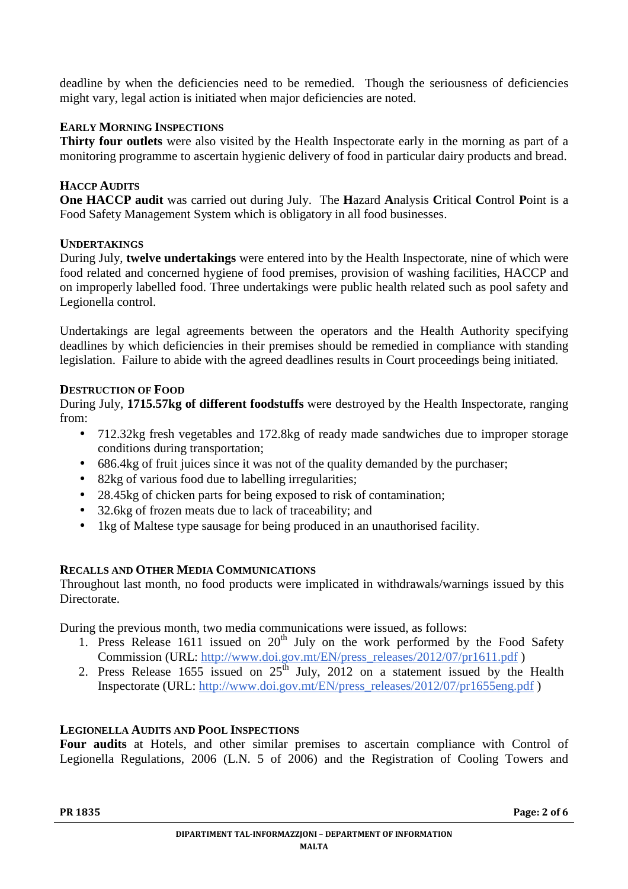deadline by when the deficiencies need to be remedied. Though the seriousness of deficiencies might vary, legal action is initiated when major deficiencies are noted.

# **EARLY MORNING INSPECTIONS**

**Thirty four outlets** were also visited by the Health Inspectorate early in the morning as part of a monitoring programme to ascertain hygienic delivery of food in particular dairy products and bread.

# **HACCP AUDITS**

**One HACCP audit** was carried out during July. The **H**azard **A**nalysis **C**ritical **C**ontrol **P**oint is a Food Safety Management System which is obligatory in all food businesses.

## **UNDERTAKINGS**

During July, **twelve undertakings** were entered into by the Health Inspectorate, nine of which were food related and concerned hygiene of food premises, provision of washing facilities, HACCP and on improperly labelled food. Three undertakings were public health related such as pool safety and Legionella control.

Undertakings are legal agreements between the operators and the Health Authority specifying deadlines by which deficiencies in their premises should be remedied in compliance with standing legislation. Failure to abide with the agreed deadlines results in Court proceedings being initiated.

## **DESTRUCTION OF FOOD**

During July, **1715.57kg of different foodstuffs** were destroyed by the Health Inspectorate, ranging from:

- 712.32kg fresh vegetables and 172.8kg of ready made sandwiches due to improper storage conditions during transportation;
- 686.4kg of fruit juices since it was not of the quality demanded by the purchaser;
- 82kg of various food due to labelling irregularities;
- 28.45kg of chicken parts for being exposed to risk of contamination;
- 32.6kg of frozen meats due to lack of traceability; and
- 1kg of Maltese type sausage for being produced in an unauthorised facility.

# **RECALLS AND OTHER MEDIA COMMUNICATIONS**

Throughout last month, no food products were implicated in withdrawals/warnings issued by this Directorate.

During the previous month, two media communications were issued, as follows:

- 1. Press Release 1611 issued on  $20<sup>th</sup>$  July on the work performed by the Food Safety Commission (URL: http://www.doi.gov.mt/EN/press\_releases/2012/07/pr1611.pdf )
- 2. Press Release  $1655$  issued on  $25<sup>th</sup>$  July, 2012 on a statement issued by the Health Inspectorate (URL: http://www.doi.gov.mt/EN/press\_releases/2012/07/pr1655eng.pdf )

# **LEGIONELLA AUDITS AND POOL INSPECTIONS**

**Four audits** at Hotels, and other similar premises to ascertain compliance with Control of Legionella Regulations, 2006 (L.N. 5 of 2006) and the Registration of Cooling Towers and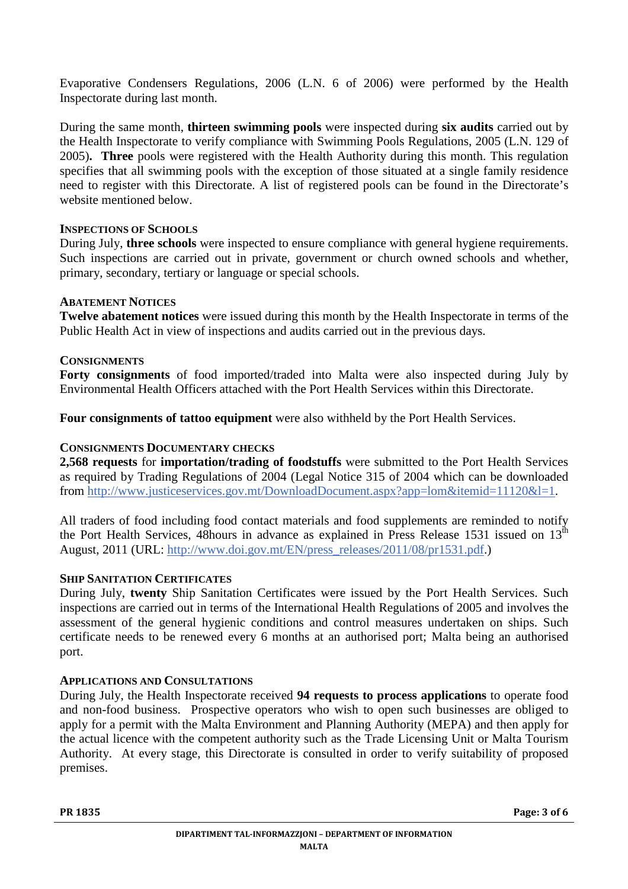Evaporative Condensers Regulations, 2006 (L.N. 6 of 2006) were performed by the Health Inspectorate during last month.

During the same month, **thirteen swimming pools** were inspected during **six audits** carried out by the Health Inspectorate to verify compliance with Swimming Pools Regulations, 2005 (L.N. 129 of 2005)**. Three** pools were registered with the Health Authority during this month. This regulation specifies that all swimming pools with the exception of those situated at a single family residence need to register with this Directorate. A list of registered pools can be found in the Directorate's website mentioned below.

# **INSPECTIONS OF SCHOOLS**

During July, **three schools** were inspected to ensure compliance with general hygiene requirements. Such inspections are carried out in private, government or church owned schools and whether, primary, secondary, tertiary or language or special schools.

## **ABATEMENT NOTICES**

**Twelve abatement notices** were issued during this month by the Health Inspectorate in terms of the Public Health Act in view of inspections and audits carried out in the previous days.

# **CONSIGNMENTS**

**Forty consignments** of food imported/traded into Malta were also inspected during July by Environmental Health Officers attached with the Port Health Services within this Directorate.

**Four consignments of tattoo equipment** were also withheld by the Port Health Services.

# **CONSIGNMENTS DOCUMENTARY CHECKS**

**2,568 requests** for **importation/trading of foodstuffs** were submitted to the Port Health Services as required by Trading Regulations of 2004 (Legal Notice 315 of 2004 which can be downloaded from http://www.justiceservices.gov.mt/DownloadDocument.aspx?app=lom&itemid=11120&l=1.

All traders of food including food contact materials and food supplements are reminded to notify the Port Health Services, 48hours in advance as explained in Press Release 1531 issued on  $13<sup>th</sup>$ August, 2011 (URL: http://www.doi.gov.mt/EN/press\_releases/2011/08/pr1531.pdf.)

## **SHIP SANITATION CERTIFICATES**

During July, **twenty** Ship Sanitation Certificates were issued by the Port Health Services. Such inspections are carried out in terms of the International Health Regulations of 2005 and involves the assessment of the general hygienic conditions and control measures undertaken on ships. Such certificate needs to be renewed every 6 months at an authorised port; Malta being an authorised port.

## **APPLICATIONS AND CONSULTATIONS**

During July, the Health Inspectorate received **94 requests to process applications** to operate food and non-food business. Prospective operators who wish to open such businesses are obliged to apply for a permit with the Malta Environment and Planning Authority (MEPA) and then apply for the actual licence with the competent authority such as the Trade Licensing Unit or Malta Tourism Authority. At every stage, this Directorate is consulted in order to verify suitability of proposed premises.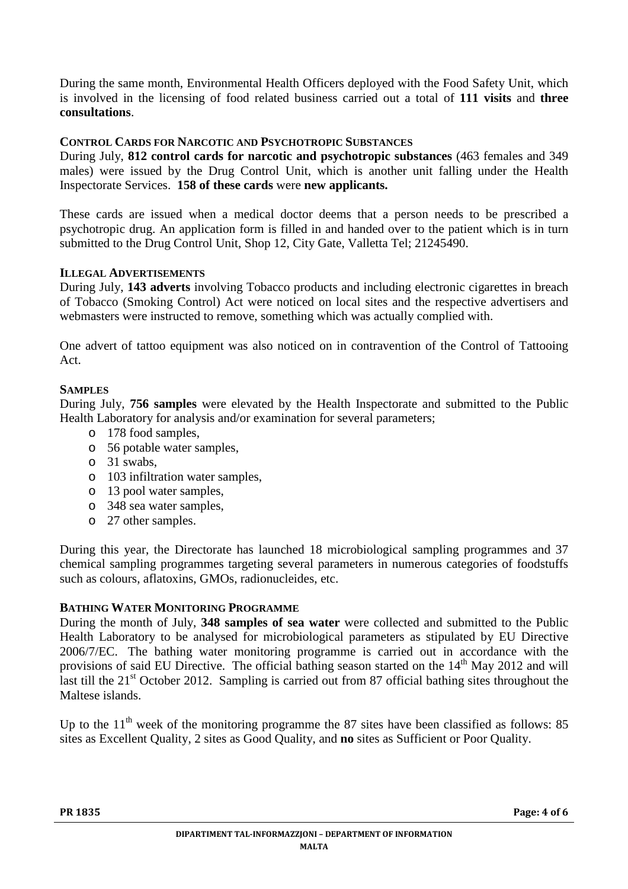During the same month, Environmental Health Officers deployed with the Food Safety Unit, which is involved in the licensing of food related business carried out a total of **111 visits** and **three consultations**.

# **CONTROL CARDS FOR NARCOTIC AND PSYCHOTROPIC SUBSTANCES**

During July, **812 control cards for narcotic and psychotropic substances** (463 females and 349 males) were issued by the Drug Control Unit, which is another unit falling under the Health Inspectorate Services. **158 of these cards** were **new applicants.**

These cards are issued when a medical doctor deems that a person needs to be prescribed a psychotropic drug. An application form is filled in and handed over to the patient which is in turn submitted to the Drug Control Unit, Shop 12, City Gate, Valletta Tel; 21245490.

## **ILLEGAL ADVERTISEMENTS**

During July, **143 adverts** involving Tobacco products and including electronic cigarettes in breach of Tobacco (Smoking Control) Act were noticed on local sites and the respective advertisers and webmasters were instructed to remove, something which was actually complied with.

One advert of tattoo equipment was also noticed on in contravention of the Control of Tattooing Act.

## **SAMPLES**

During July, **756 samples** were elevated by the Health Inspectorate and submitted to the Public Health Laboratory for analysis and/or examination for several parameters;

- o 178 food samples,
- o 56 potable water samples,
- o 31 swabs,
- o 103 infiltration water samples,
- o 13 pool water samples,
- o 348 sea water samples,
- o 27 other samples.

During this year, the Directorate has launched 18 microbiological sampling programmes and 37 chemical sampling programmes targeting several parameters in numerous categories of foodstuffs such as colours, aflatoxins, GMOs, radionucleides, etc.

## **BATHING WATER MONITORING PROGRAMME**

During the month of July, **348 samples of sea water** were collected and submitted to the Public Health Laboratory to be analysed for microbiological parameters as stipulated by EU Directive 2006/7/EC. The bathing water monitoring programme is carried out in accordance with the provisions of said EU Directive. The official bathing season started on the 14<sup>th</sup> May 2012 and will last till the 21<sup>st</sup> October 2012. Sampling is carried out from 87 official bathing sites throughout the Maltese islands.

Up to the  $11<sup>th</sup>$  week of the monitoring programme the 87 sites have been classified as follows: 85 sites as Excellent Quality, 2 sites as Good Quality, and **no** sites as Sufficient or Poor Quality.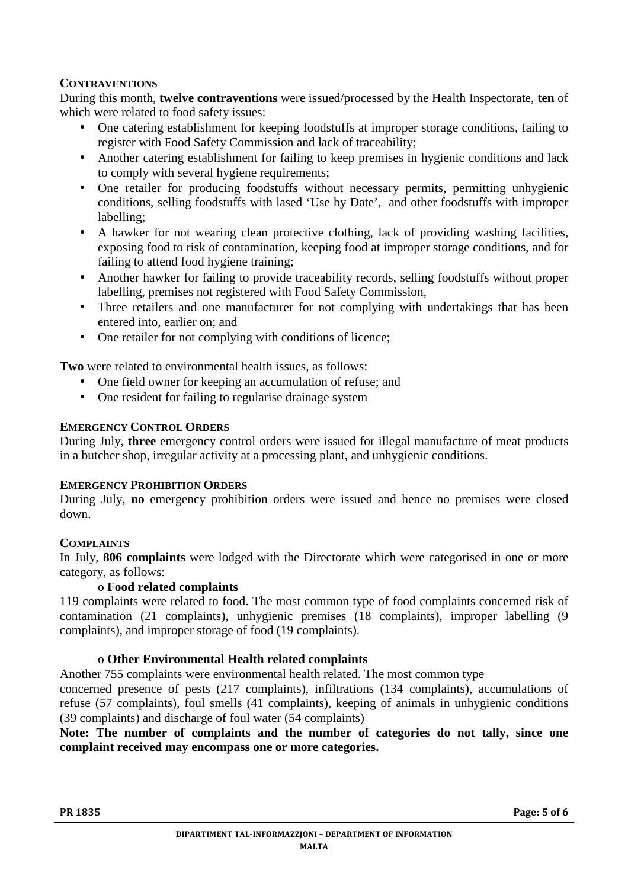# **CONTRAVENTIONS**

During this month, **twelve contraventions** were issued/processed by the Health Inspectorate, **ten** of which were related to food safety issues:

- One catering establishment for keeping foodstuffs at improper storage conditions, failing to register with Food Safety Commission and lack of traceability;
- Another catering establishment for failing to keep premises in hygienic conditions and lack to comply with several hygiene requirements;
- One retailer for producing foodstuffs without necessary permits, permitting unhygienic conditions, selling foodstuffs with lased 'Use by Date', and other foodstuffs with improper labelling;
- A hawker for not wearing clean protective clothing, lack of providing washing facilities, exposing food to risk of contamination, keeping food at improper storage conditions, and for failing to attend food hygiene training;
- Another hawker for failing to provide traceability records, selling foodstuffs without proper labelling, premises not registered with Food Safety Commission,
- Three retailers and one manufacturer for not complying with undertakings that has been entered into, earlier on; and
- One retailer for not complying with conditions of licence:

**Two** were related to environmental health issues, as follows:

- One field owner for keeping an accumulation of refuse; and
- One resident for failing to regularise drainage system

# **EMERGENCY CONTROL ORDERS**

During July, **three** emergency control orders were issued for illegal manufacture of meat products in a butcher shop, irregular activity at a processing plant, and unhygienic conditions.

## **EMERGENCY PROHIBITION ORDERS**

During July, **no** emergency prohibition orders were issued and hence no premises were closed down.

## **COMPLAINTS**

In July, **806 complaints** were lodged with the Directorate which were categorised in one or more category, as follows:

## o **Food related complaints**

119 complaints were related to food. The most common type of food complaints concerned risk of contamination (21 complaints), unhygienic premises (18 complaints), improper labelling (9 complaints), and improper storage of food (19 complaints).

# o **Other Environmental Health related complaints**

Another 755 complaints were environmental health related. The most common type

concerned presence of pests (217 complaints), infiltrations (134 complaints), accumulations of refuse (57 complaints), foul smells (41 complaints), keeping of animals in unhygienic conditions (39 complaints) and discharge of foul water (54 complaints)

# **Note: The number of complaints and the number of categories do not tally, since one complaint received may encompass one or more categories.**